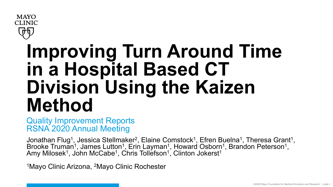

# **Improving Turn Around Time in a Hospital Based CT Division Using the Kaizen Method**

Quality Improvement Reports RSNA 2020 Annual Meeting

Jonathan Flug<sup>1</sup>, Jessica Stellmaker<sup>2</sup>, Elaine Comstock<sup>1</sup>, Efren Buelna<sup>1</sup>, Theresa Grant<sup>1</sup>, Brooke Truman<sup>1</sup>, James Lutton<sup>1</sup>, Erin Layman<sup>1</sup>, Howard Osborn<sup>1</sup>, Brandon Peterson<sup>1</sup>, Amy Milosek<sup>1</sup>, John McCabe<sup>1</sup>, Chris Tollefson<sup>1</sup>, Clinton Jokerst<sup>1</sup>

1Mayo Clinic Arizona, 2Mayo Clinic Rochester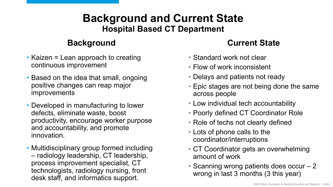#### **Background and Current State Hospital Based CT Department**

- Kaizen = Lean approach to creating continuous improvement
- Based on the idea that small, ongoing positive changes can reap major improvements
- Developed in manufacturing to lower defects, eliminate waste, boost productivity, encourage worker purpose and accountability, and promote innovation.
- Multidisciplinary group formed including – radiology leadership, CT leadership, process improvement specialist, CT technologists, radiology nursing, front desk staff, and informatics support.

#### **Background Current State**

- Standard work not clear
- Flow of work inconsistent
- Delays and patients not ready
- Epic stages are not being done the same across people
- Low individual tech accountability
- Poorly defined CT Coordinator Role
- Role of techs not clearly defined
- Lots of phone calls to the coordinator/interruptions
- CT Coordinator gets an overwhelming amount of work
- Scanning wrong patients does occur 2 wrong in last 3 months (3 this year)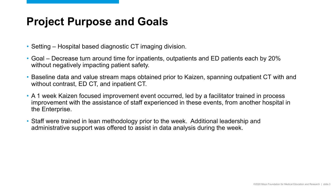#### **Project Purpose and Goals**

- Setting Hospital based diagnostic CT imaging division.
- Goal Decrease turn around time for inpatients, outpatients and ED patients each by 20% without negatively impacting patient safety.
- Baseline data and value stream maps obtained prior to Kaizen, spanning outpatient CT with and without contrast, ED CT, and inpatient CT.
- A 1 week Kaizen focused improvement event occurred, led by a facilitator trained in process improvement with the assistance of staff experienced in these events, from another hospital in the Enterprise.
- Staff were trained in lean methodology prior to the week. Additional leadership and administrative support was offered to assist in data analysis during the week.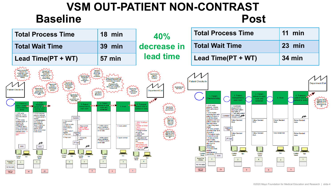### **VSM OUT-PATIENT NON-CONTRAST Baseline** Post

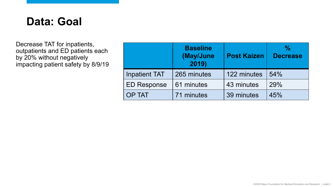#### **Data: Goal**

Decrease TAT for inpatients, outpatients and ED patients each by 20% without negatively impacting patient safety by 8/9/19

|                      | <b>Baseline</b><br>(May/June<br>2019) | <b>Post Kaizen</b> | $\frac{0}{\alpha}$<br><b>Decrease</b> |
|----------------------|---------------------------------------|--------------------|---------------------------------------|
| <b>Inpatient TAT</b> | 265 minutes                           | 122 minutes        | 54%                                   |
| <b>ED Response</b>   | 61 minutes                            | 43 minutes         | 29%                                   |
| <b>OP TAT</b>        | 71 minutes                            | 39 minutes         | 45%                                   |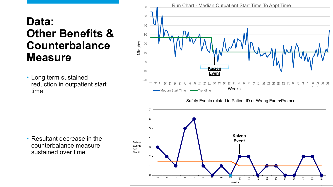### **Data: Other Benefits & Counterbalance Measure**

• Long term sustained reduction in outpatient start time





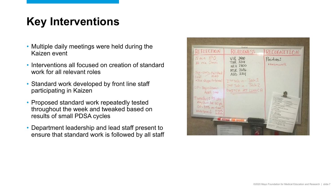## **Key Interventions**

- Multiple daily meetings were held during the Kaizen event
- Interventions all focused on creation of standard work for all relevant roles
- Standard work developed by front line staff participating in Kaizen
- Proposed standard work repeatedly tested throughout the week and tweaked based on results of small PDSA cycles
- Department leadership and lead staff present to ensure that standard work is followed by all staff

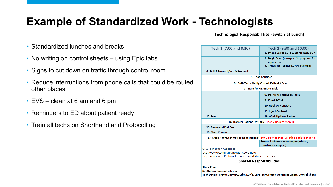## **Example of Standardized Work - Technologists**

Technologist Responsibilities (Switch at Lunch)

- Standardized lunches and breaks
- No writing on control sheets using Epic tabs
- Signs to cut down on traffic through control room
- Reduce interruptions from phone calls that could be routed other places
- EVS clean at 6 am and 6 pm
- Reminders to ED about patient ready
- Train all techs on Shorthand and Protocolling

| Tech 1 (7:00 and 8:30)                                     | Tech 2 (9:30 and 10:00)                                                              |
|------------------------------------------------------------|--------------------------------------------------------------------------------------|
|                                                            | 1. Phone Call to ED/1 West for NON-CON                                               |
|                                                            | 2. Begin Exam (transport 'in progress' for<br>inpatients)                            |
|                                                            | 3. Transport Patient (ED/OP Subwait)                                                 |
| 4. Pull E-Protocol/Verify Protocol                         |                                                                                      |
|                                                            | 5. Load Contrast                                                                     |
|                                                            | 6. Both Techs Verify Correct Patient / Exam                                          |
|                                                            | 7. Transfer Patient to Table                                                         |
|                                                            | 8. Positions Patient on Table                                                        |
|                                                            | 9. Check IV 1st                                                                      |
|                                                            | 10. Hook Up Contrast                                                                 |
|                                                            | <b>11. Inject Contrast</b>                                                           |
| 12. Scan                                                   | 13. Work Up Next Patient                                                             |
|                                                            | 14. Transfer Patient Off Table (Tech 2 Back to Step 1)                               |
| 15. Recon and End Exam                                     |                                                                                      |
| <b>16. Chart Contrast</b>                                  |                                                                                      |
|                                                            | 17. Clean Room/Set Up For Next Patient (Tech 2 Back to Step 1/Tech 1 Back to Step 4) |
|                                                            | Protocol when scanner empty(primary<br>coordinator support)                          |
| <b>CT 1 Tech When Available:</b>                           |                                                                                      |
| Use skype to Communicate with Coordinator                  |                                                                                      |
| Help Coordinator Protocol ED Patients and Work Up and Scan |                                                                                      |
|                                                            | <b>Shared Responsibilities</b>                                                       |
| <b>Stock Room</b>                                          |                                                                                      |
| Set Up Epic Tabs as Follows:                               |                                                                                      |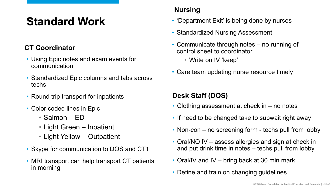## **Standard Work**

#### **CT Coordinator**

- Using Epic notes and exam events for communication
- Standardized Epic columns and tabs across techs
- Round trip transport for inpatients
- Color coded lines in Epic
	- Salmon ED
	- Light Green Inpatient
	- Light Yellow Outpatient
- Skype for communication to DOS and CT1
- MRI transport can help transport CT patients in morning

#### **Nursing**

- 'Department Exit' is being done by nurses
- Standardized Nursing Assessment
- Communicate through notes no running of control sheet to coordinator
	- Write on IV 'keep'
- Care team updating nurse resource timely

#### **Desk Staff (DOS)**

- Clothing assessment at check in no notes
- If need to be changed take to subwait right away
- Non-con no screening form techs pull from lobby
- Oral/NO IV assess allergies and sign at check in and put drink time in notes – techs pull from lobby
- Oral/IV and IV bring back at 30 min mark
- Define and train on changing guidelines